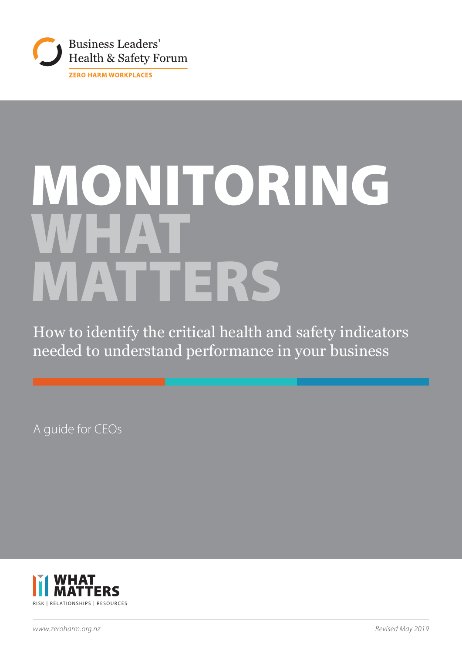

# MONITORING WHAT MATTERS

How to identify the critical health and safety indicators needed to understand performance in your business

A guide for CEOs

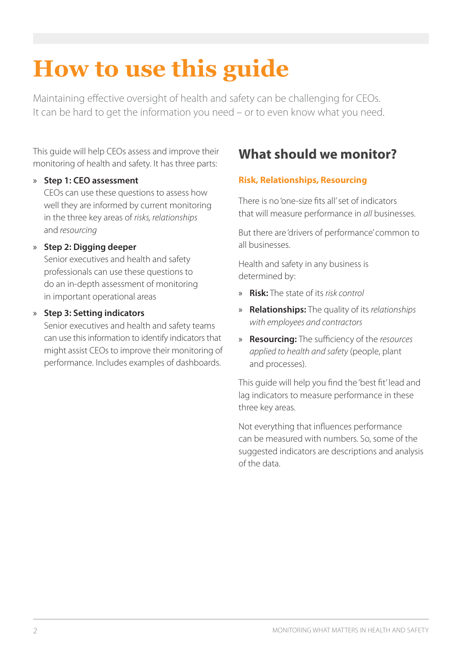# **How to use this guide**

Maintaining effective oversight of health and safety can be challenging for CEOs. It can be hard to get the information you need – or to even know what you need.

This guide will help CEOs assess and improve their monitoring of health and safety. It has three parts:

#### » **Step 1: CEO assessment**

CEOs can use these questions to assess how well they are informed by current monitoring in the three key areas of *risks, relationships*  and *resourcing*

#### » **Step 2: Digging deeper**

Senior executives and health and safety professionals can use these questions to do an in-depth assessment of monitoring in important operational areas

#### » **Step 3: Setting indicators**

Senior executives and health and safety teams can use this information to identify indicators that might assist CEOs to improve their monitoring of performance. Includes examples of dashboards.

# **What should we monitor?**

#### **Risk, Relationships, Resourcing**

There is no 'one-size fits all' set of indicators that will measure performance in *all* businesses.

But there are 'drivers of performance' common to all businesses.

Health and safety in any business is determined by:

- » **Risk:** The state of its *risk control*
- » **Relationships:** The quality of its *relationships with employees and contractors*
- » **Resourcing:** The sufficiency of the *resources applied to health and safety* (people, plant and processes).

This guide will help you find the 'best fit' lead and lag indicators to measure performance in these three key areas.

Not everything that influences performance can be measured with numbers. So, some of the suggested indicators are descriptions and analysis of the data.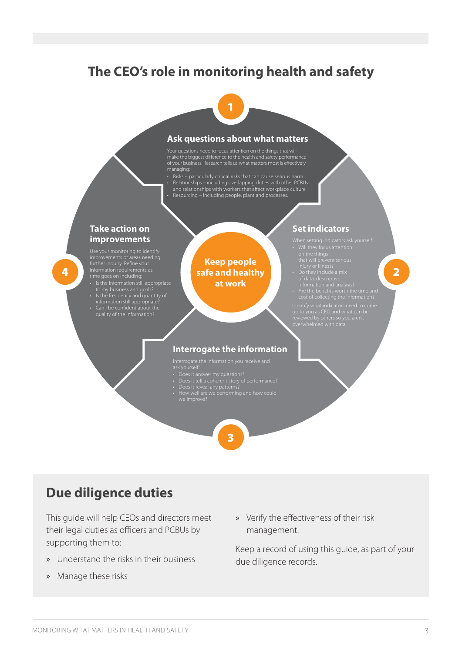### **The CEO's role in monitoring health and safety**



#### **Ask questions about what matters**

Your questions need to focus attention on the things that will make the biggest difference to the health and safety performance of your business. Research tells us what matters most is effectively managing:

• Risks – particularly critical risks that can cause serious harm • Relationships – including overlapping duties with other PCBUs and relationships with workers that affect workplace culture • Resourcing – including people, plant and processes.

#### **Take action on improvements**

further inquiry. Refine your information requirements as • Is the information still appropriate

4

- 
- information still appropriate?
- Can I be confident about the quality of the information?

**Keep people safe and healthy at work**

#### **Set indicators**

- 
- 
- 
- -

2

#### **Interrogate the information**

- 
- 
- 
- 
- 

# 3

# **Due diligence duties**

This guide will help CEOs and directors meet their legal duties as officers and PCBUs by supporting them to:

- » Understand the risks in their business
- » Manage these risks

» Verify the effectiveness of their risk management.

Keep a record of using this guide, as part of your due diligence records.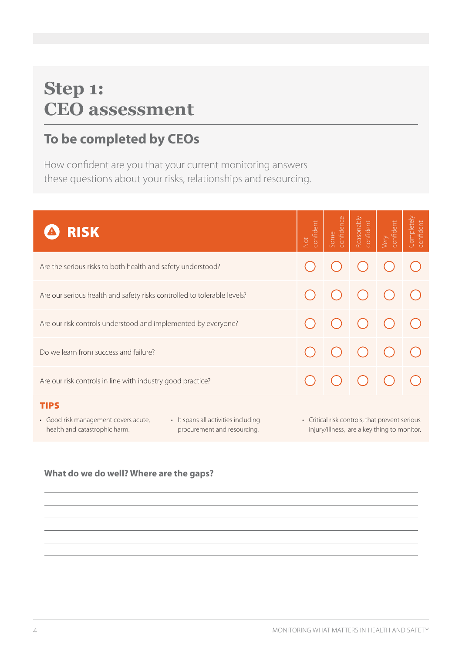# **Step 1: CEO assessment**

# **To be completed by CEOs**

How confident are you that your current monitoring answers these questions about your risks, relationships and resourcing.

| <b>RISK</b>                                                                                                                                  | confident<br>Not | confidence<br>Some | Reasonably<br>confident | confident<br>Very | Completely<br>confident |  |
|----------------------------------------------------------------------------------------------------------------------------------------------|------------------|--------------------|-------------------------|-------------------|-------------------------|--|
| Are the serious risks to both health and safety understood?                                                                                  |                  |                    |                         |                   |                         |  |
| Are our serious health and safety risks controlled to tolerable levels?                                                                      |                  |                    |                         |                   |                         |  |
| Are our risk controls understood and implemented by everyone?                                                                                |                  |                    |                         |                   |                         |  |
| Do we learn from success and failure?                                                                                                        |                  |                    |                         |                   |                         |  |
| Are our risk controls in line with industry good practice?                                                                                   |                  |                    |                         |                   |                         |  |
| <b>TIPS</b><br>· Good risk management covers acute,<br>• It spans all activities including<br>• Critical risk controls, that prevent serious |                  |                    |                         |                   |                         |  |

- health and catastrophic harm.
- procurement and resourcing.
- injury/illness, are a key thing to monitor.

### **What do we do well? Where are the gaps?**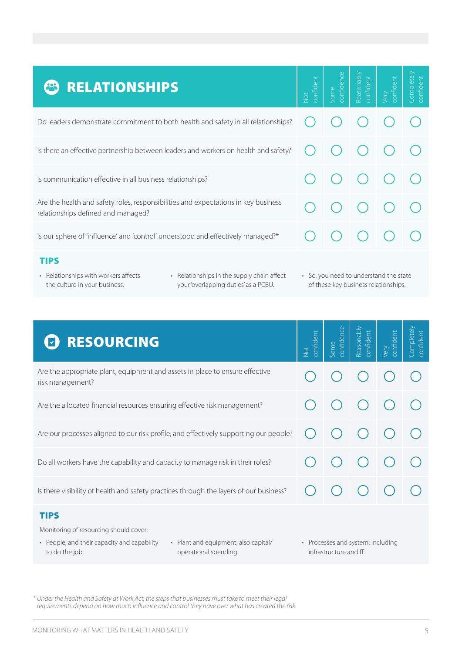| <b>RELATIONSHIPS</b>                                                                                                     | confident<br>Vot | confidence<br>ome | Reasonabl<br>confident | confident<br>Very | <b>Completely</b><br>confident |
|--------------------------------------------------------------------------------------------------------------------------|------------------|-------------------|------------------------|-------------------|--------------------------------|
| Do leaders demonstrate commitment to both health and safety in all relationships?                                        |                  |                   |                        |                   |                                |
| Is there an effective partnership between leaders and workers on health and safety?                                      |                  |                   |                        |                   |                                |
| Is communication effective in all business relationships?                                                                |                  |                   |                        |                   |                                |
| Are the health and safety roles, responsibilities and expectations in key business<br>relationships defined and managed? |                  |                   |                        |                   |                                |
| Is our sphere of 'influence' and 'control' understood and effectively managed?*                                          |                  |                   |                        |                   |                                |

#### TIPS

- Relationships with workers affects the culture in your business.
- Relationships in the supply chain affect your 'overlapping duties' as a PCBU.
- So, you need to understand the state of these key business relationships.

| <b>RESOURCING</b>                                                                                                                            | confident<br><b>Not</b> | confidence<br>Some | Reasonably<br>confident           | confident<br>Very | Completely<br>confident |
|----------------------------------------------------------------------------------------------------------------------------------------------|-------------------------|--------------------|-----------------------------------|-------------------|-------------------------|
| Are the appropriate plant, equipment and assets in place to ensure effective<br>risk management?                                             |                         |                    |                                   |                   |                         |
| Are the allocated financial resources ensuring effective risk management?                                                                    |                         |                    |                                   |                   |                         |
| Are our processes aligned to our risk profile, and effectively supporting our people?                                                        |                         |                    |                                   |                   |                         |
| Do all workers have the capability and capacity to manage risk in their roles?                                                               |                         |                    |                                   |                   |                         |
| Is there visibility of health and safety practices through the layers of our business?                                                       |                         |                    |                                   |                   |                         |
| <b>TIPS</b><br>Monitoring of resourcing should cover:<br>• People, and their capacity and capability<br>• Plant and equipment; also capital/ |                         |                    | • Processes and system; including |                   |                         |

operational spending.

infrastructure and IT.

*\* Under the Health and Safety at Work Act, the steps that businesses must take to meet their legal requirements depend on how much influence and control they have over what has created the risk.*

to do the job.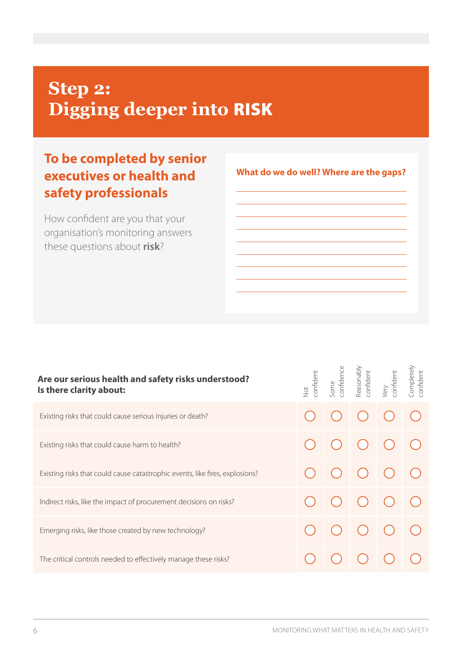# **Step 2: Digging deeper into** RISK

# **To be completed by senior executives or health and safety professionals**

How confident are you that your organisation's monitoring answers these questions about **risk**?

#### Reasonably Completely<br>confident Completely Some<br>confidence Reasonably<br>confident confidence confident Very<br>confident confident confident confident confident **Are our serious health and safety risks understood?**  Not **Is there clarity about:** Existing risks that could cause serious injuries or death? Existing risks that could cause harm to health? Existing risks that could cause catastrophic events, like fires, explosions? Indirect risks, like the impact of procurement decisions on risks? Emerging risks, like those created by new technology? The critical controls needed to effectively manage these risks?

#### **What do we do well? Where are the gaps?**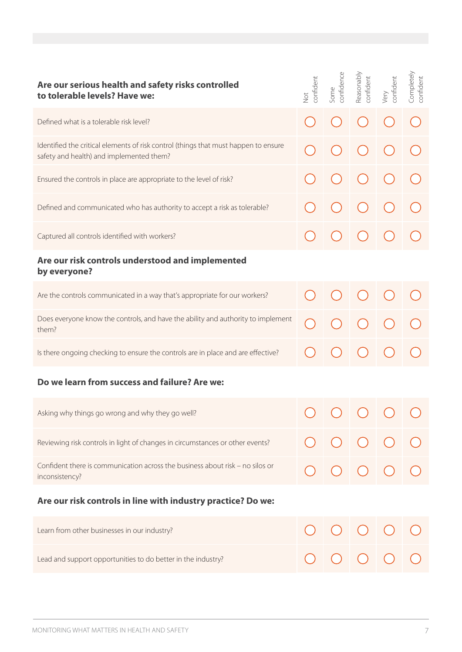| Are our serious health and safety risks controlled<br>to tolerable levels? Have we:                                             | confident<br>Not | confidence<br>Some | Reasonably<br>confident | confident<br>Very | Completely<br>confident |  |
|---------------------------------------------------------------------------------------------------------------------------------|------------------|--------------------|-------------------------|-------------------|-------------------------|--|
| Defined what is a tolerable risk level?                                                                                         |                  |                    |                         |                   |                         |  |
| Identified the critical elements of risk control (things that must happen to ensure<br>safety and health) and implemented them? |                  |                    |                         |                   |                         |  |
| Ensured the controls in place are appropriate to the level of risk?                                                             |                  |                    |                         |                   |                         |  |
| Defined and communicated who has authority to accept a risk as tolerable?                                                       |                  |                    |                         |                   |                         |  |
| Captured all controls identified with workers?                                                                                  |                  |                    |                         |                   |                         |  |
| Are our risk controls understood and implemented<br>by everyone?                                                                |                  |                    |                         |                   |                         |  |
| Are the controls communicated in a way that's appropriate for our workers?                                                      |                  |                    |                         |                   |                         |  |
| Does everyone know the controls, and have the ability and authority to implement<br>them?                                       |                  |                    |                         |                   |                         |  |
| Is there ongoing checking to ensure the controls are in place and are effective?                                                |                  |                    |                         |                   |                         |  |
| Do we learn from success and failure? Are we:                                                                                   |                  |                    |                         |                   |                         |  |
| Asking why things go wrong and why they go well?                                                                                | $\sqrt{ }$       |                    |                         |                   |                         |  |
| Reviewing risk controls in light of changes in circumstances or other events?                                                   |                  |                    |                         |                   |                         |  |
| Confident there is communication across the business about risk - no silos or<br>inconsistency?                                 |                  |                    |                         |                   |                         |  |
| Are our risk controls in line with industry practice? Do we:                                                                    |                  |                    |                         |                   |                         |  |
| Learn from other businesses in our industry?                                                                                    |                  |                    |                         |                   |                         |  |
| Lead and support opportunities to do better in the industry?                                                                    |                  |                    |                         |                   |                         |  |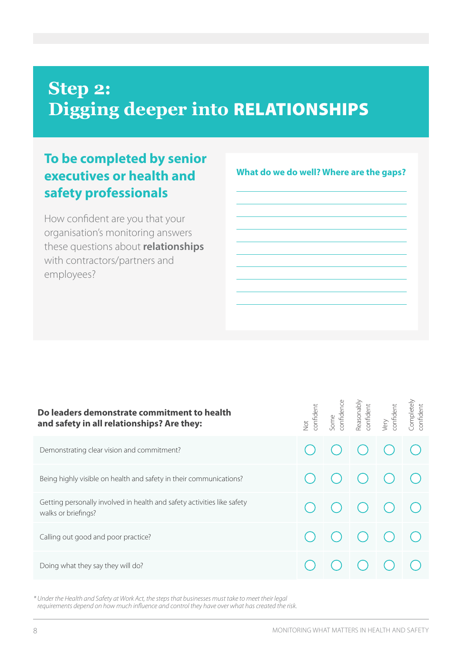# **Step 2: Digging deeper into** RELATIONSHIPS

# **To be completed by senior executives or health and safety professionals**

How confident are you that your organisation's monitoring answers these questions about **relationships** with contractors/partners and employees?

**What do we do well? Where are the gaps?**

| Do leaders demonstrate commitment to health<br>and safety in all relationships? Are they:      | confident<br>Jot | Some<br>confidence | Reasonably<br>confident | Very<br>confident | Completely<br>confident |
|------------------------------------------------------------------------------------------------|------------------|--------------------|-------------------------|-------------------|-------------------------|
| Demonstrating clear vision and commitment?                                                     |                  |                    |                         |                   |                         |
| Being highly visible on health and safety in their communications?                             |                  |                    |                         |                   |                         |
| Getting personally involved in health and safety activities like safety<br>walks or briefings? |                  |                    |                         |                   |                         |
| Calling out good and poor practice?                                                            |                  |                    |                         |                   |                         |
| Doing what they say they will do?                                                              |                  |                    |                         |                   |                         |

*\* Under the Health and Safety at Work Act, the steps that businesses must take to meet their legal requirements depend on how much influence and control they have over what has created the risk.*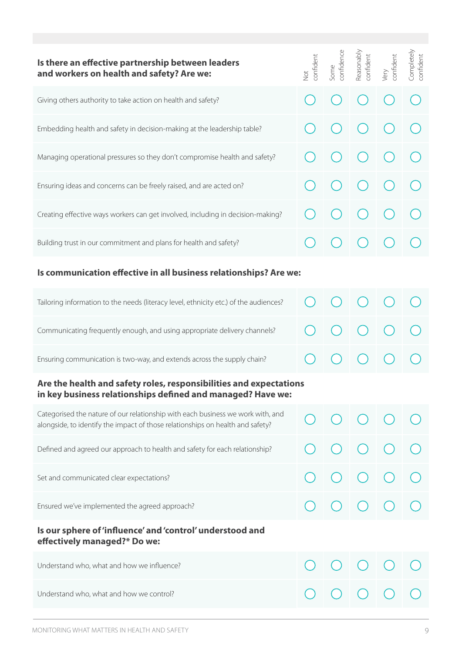| Is there an effective partnership between leaders<br>and workers on health and safety? Are we:                                                                    | confident<br><b>Not</b> | confidence<br>Some | Reasonably<br>confident | confident<br>Very | Completely<br>confident |  |  |  |
|-------------------------------------------------------------------------------------------------------------------------------------------------------------------|-------------------------|--------------------|-------------------------|-------------------|-------------------------|--|--|--|
| Giving others authority to take action on health and safety?                                                                                                      |                         |                    |                         |                   |                         |  |  |  |
| Embedding health and safety in decision-making at the leadership table?                                                                                           |                         |                    |                         |                   |                         |  |  |  |
| Managing operational pressures so they don't compromise health and safety?                                                                                        |                         |                    |                         |                   |                         |  |  |  |
| Ensuring ideas and concerns can be freely raised, and are acted on?                                                                                               |                         |                    |                         |                   |                         |  |  |  |
| Creating effective ways workers can get involved, including in decision-making?                                                                                   |                         |                    |                         |                   |                         |  |  |  |
| Building trust in our commitment and plans for health and safety?                                                                                                 |                         |                    |                         |                   |                         |  |  |  |
| Is communication effective in all business relationships? Are we:                                                                                                 |                         |                    |                         |                   |                         |  |  |  |
| Tailoring information to the needs (literacy level, ethnicity etc.) of the audiences?                                                                             |                         |                    |                         |                   |                         |  |  |  |
| Communicating frequently enough, and using appropriate delivery channels?                                                                                         |                         |                    |                         |                   |                         |  |  |  |
| Ensuring communication is two-way, and extends across the supply chain?                                                                                           |                         |                    |                         |                   |                         |  |  |  |
| Are the health and safety roles, responsibilities and expectations<br>in key business relationships defined and managed? Have we:                                 |                         |                    |                         |                   |                         |  |  |  |
| Categorised the nature of our relationship with each business we work with, and<br>alongside, to identify the impact of those relationships on health and safety? |                         |                    |                         |                   |                         |  |  |  |
| Defined and agreed our approach to health and safety for each relationship?                                                                                       |                         |                    |                         |                   |                         |  |  |  |
| Set and communicated clear expectations?                                                                                                                          |                         |                    |                         |                   |                         |  |  |  |
| Ensured we've implemented the agreed approach?                                                                                                                    |                         |                    |                         |                   |                         |  |  |  |
| Is our sphere of 'influence' and 'control' understood and<br>effectively managed?* Do we:                                                                         |                         |                    |                         |                   |                         |  |  |  |
| Understand who, what and how we influence?                                                                                                                        |                         |                    |                         |                   |                         |  |  |  |
| Understand who, what and how we control?                                                                                                                          |                         |                    |                         |                   |                         |  |  |  |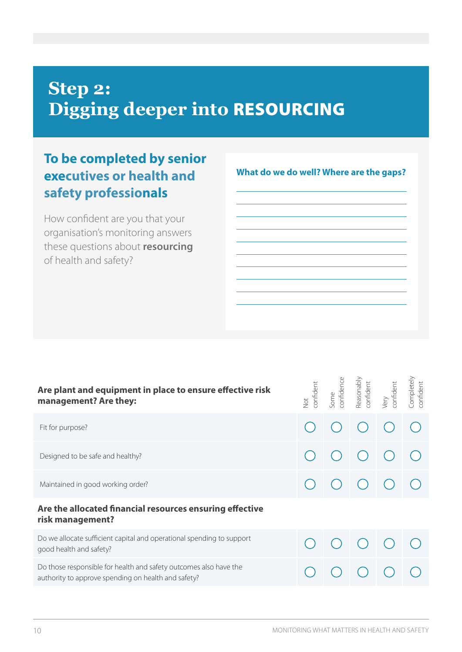# **Step 2: Digging deeper into** RESOURCING

# **To be completed by senior executives or health and safety professionals**

How confident are you that your organisation's monitoring answers these questions about **resourcing** of health and safety?

Reasonably<br>confident Completely<br>confident Completely Some<br>confidence Reasonably confidence confident Very<br>confident confident confident confident confident **Are plant and equipment in place to ensure effective risk**  Not **management? Are they:** Fit for purpose? Designed to be safe and healthy? Maintained in good working order? **Are the allocated financial resources ensuring effective risk management?** Do we allocate sufficient capital and operational spending to support good health and safety? Do those responsible for health and safety outcomes also have the authority to approve spending on health and safety?

**What do we do well? Where are the gaps?**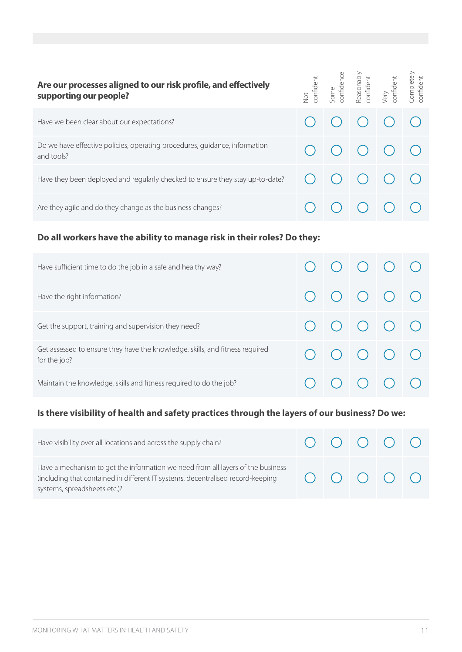| Are our processes aligned to our risk profile, and effectively<br>supporting our people? | $\overline{Q}$ | confident<br>Some<br>confidence<br>Reasonably<br>confident<br>Completely<br>Completely |                               |  |
|------------------------------------------------------------------------------------------|----------------|----------------------------------------------------------------------------------------|-------------------------------|--|
| Have we been clear about our expectations?                                               |                | $\bigcup$ $\bigcup$ $\bigcup$                                                          |                               |  |
| Do we have effective policies, operating procedures, guidance, information<br>and tools? |                | $\begin{array}{ccc} \bigcirc & \bigcirc & \bigcirc & \bigcirc & \bigcirc \end{array}$  |                               |  |
| Have they been deployed and regularly checked to ensure they stay up-to-date?            |                |                                                                                        | $\bigcup$ $\bigcup$ $\bigcup$ |  |
| Are they agile and do they change as the business changes?                               |                |                                                                                        |                               |  |

#### **Do all workers have the ability to manage risk in their roles? Do they:**

| Have sufficient time to do the job in a safe and healthy way?                                |  | $\begin{array}{c c c c c c c c c} \hline \multicolumn{3}{c }{\bigcirc} & \multicolumn{3}{c }{\bigcirc} & \multicolumn{3}{c }{\bigcirc} & \multicolumn{3}{c }{\bigcirc} & \multicolumn{3}{c }{\bigcirc} & \multicolumn{3}{c }{\bigcirc} & \multicolumn{3}{c }{\bigcirc} & \multicolumn{3}{c }{\bigcirc} & \multicolumn{3}{c }{\bigcirc} & \multicolumn{3}{c }{\bigcirc} & \multicolumn{3}{c }{\bigcirc} & \multicolumn{3}{c }{\bigcirc} & \multicolumn{3}{c }{\bigcirc}$ |  |
|----------------------------------------------------------------------------------------------|--|-------------------------------------------------------------------------------------------------------------------------------------------------------------------------------------------------------------------------------------------------------------------------------------------------------------------------------------------------------------------------------------------------------------------------------------------------------------------------|--|
| Have the right information?                                                                  |  |                                                                                                                                                                                                                                                                                                                                                                                                                                                                         |  |
| Get the support, training and supervision they need?                                         |  | $\begin{array}{c c c c c c c c} \hline \multicolumn{3}{c }{\bigcirc} & \multicolumn{3}{c }{\bigcirc} & \multicolumn{3}{c }{\bigcirc} & \multicolumn{3}{c }{\bigcirc} & \multicolumn{3}{c }{\bigcirc} \end{array}$                                                                                                                                                                                                                                                       |  |
| Get assessed to ensure they have the knowledge, skills, and fitness required<br>for the job? |  | $\begin{array}{c c c c c c c c c} \hline \multicolumn{3}{c }{\bigcirc} & \multicolumn{3}{c }{\bigcirc} & \multicolumn{3}{c }{\bigcirc} & \multicolumn{3}{c }{\bigcirc} & \multicolumn{3}{c }{\bigcirc} & \multicolumn{3}{c }{\bigcirc} & \multicolumn{3}{c }{\bigcirc} & \multicolumn{3}{c }{\bigcirc} & \multicolumn{3}{c }{\bigcirc} & \multicolumn{3}{c }{\bigcirc} & \multicolumn{3}{c }{\bigcirc} & \multicolumn{3}{c }{\bigcirc} & \multicolumn{3}{c }{\bigcirc}$ |  |
| Maintain the knowledge, skills and fitness required to do the job?                           |  | $\begin{array}{ccc} \circ & \circ & \circ & \circ & \circ \end{array}$                                                                                                                                                                                                                                                                                                                                                                                                  |  |

### **Is there visibility of health and safety practices through the layers of our business? Do we:**

| Have visibility over all locations and across the supply chain?                                                                                                                                    |  |                                                                        |  |
|----------------------------------------------------------------------------------------------------------------------------------------------------------------------------------------------------|--|------------------------------------------------------------------------|--|
| Have a mechanism to get the information we need from all layers of the business<br>(including that contained in different IT systems, decentralised record-keeping<br>systems, spreadsheets etc.)? |  | $\begin{array}{ccc} \circ & \circ & \circ & \circ & \circ \end{array}$ |  |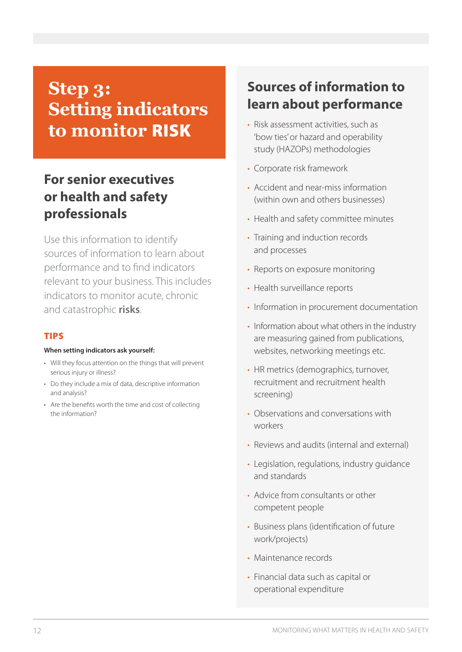# **Step 3: Setting indicators to monitor** RISK

# **For senior executives or health and safety professionals**

Use this information to identify sources of information to learn about performance and to find indicators relevant to your business. This includes indicators to monitor acute, chronic and catastrophic **risks**.

#### TIPS

#### **When setting indicators ask yourself:**

- Will they focus attention on the things that will prevent serious injury or illness?
- Do they include a mix of data, descriptive information and analysis?
- Are the benefits worth the time and cost of collecting the information?

# **Sources of information to learn about performance**

- Risk assessment activities, such as 'bow ties' or hazard and operability study (HAZOPs) methodologies
- Corporate risk framework
- Accident and near-miss information (within own and others businesses)
- Health and safety committee minutes
- Training and induction records and processes
- Reports on exposure monitoring
- Health surveillance reports
- Information in procurement documentation
- Information about what others in the industry are measuring gained from publications, websites, networking meetings etc.
- HR metrics (demographics, turnover, recruitment and recruitment health screening)
- Observations and conversations with workers
- Reviews and audits (internal and external)
- Legislation, regulations, industry guidance and standards
- Advice from consultants or other competent people
- Business plans (identification of future work/projects)
- Maintenance records
- Financial data such as capital or operational expenditure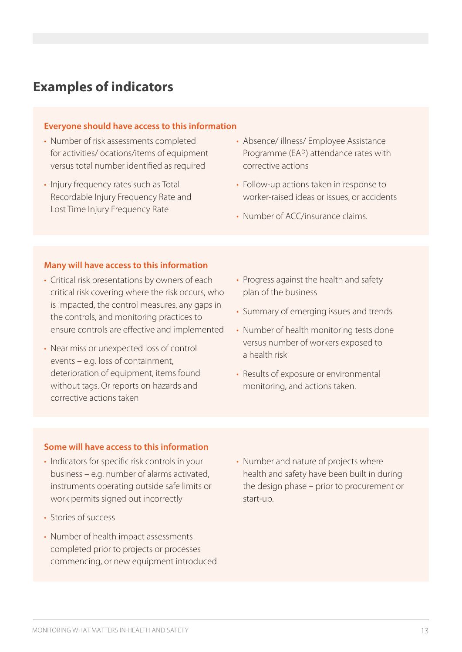### **Examples of indicators**

#### **Everyone should have access to this information**

- Number of risk assessments completed for activities/locations/items of equipment versus total number identified as required
- Injury frequency rates such as Total Recordable Injury Frequency Rate and Lost Time Injury Frequency Rate
- Absence/ illness/ Employee Assistance Programme (EAP) attendance rates with corrective actions
- Follow-up actions taken in response to worker-raised ideas or issues, or accidents
- Number of ACC/insurance claims.

#### **Many will have access to this information**

- Critical risk presentations by owners of each critical risk covering where the risk occurs, who is impacted, the control measures, any gaps in the controls, and monitoring practices to ensure controls are effective and implemented
- Near miss or unexpected loss of control events – e.g. loss of containment, deterioration of equipment, items found without tags. Or reports on hazards and corrective actions taken
- Progress against the health and safety plan of the business
- Summary of emerging issues and trends
- Number of health monitoring tests done versus number of workers exposed to a health risk
- Results of exposure or environmental monitoring, and actions taken.

#### **Some will have access to this information**

- Indicators for specific risk controls in your business – e.g. number of alarms activated, instruments operating outside safe limits or work permits signed out incorrectly
- Stories of success
- Number of health impact assessments completed prior to projects or processes commencing, or new equipment introduced
- Number and nature of projects where health and safety have been built in during the design phase – prior to procurement or start-up.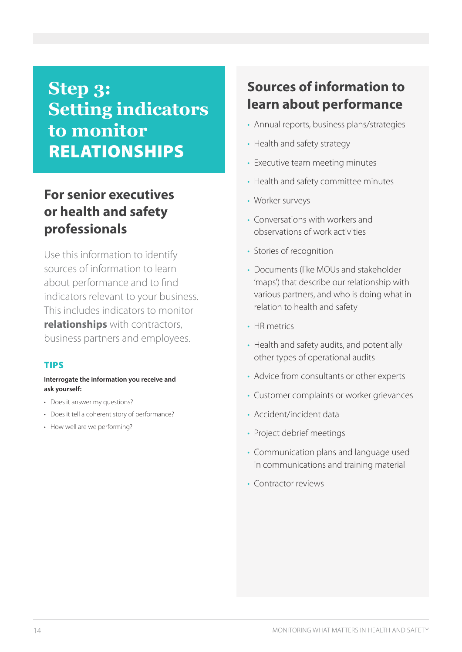# **Step 3: Setting indicators to monitor**  RELATIONSHIPS

# **For senior executives or health and safety professionals**

Use this information to identify sources of information to learn about performance and to find indicators relevant to your business. This includes indicators to monitor **relationships** with contractors, business partners and employees.

#### TIPS

#### **Interrogate the information you receive and ask yourself:**

- Does it answer my questions?
- Does it tell a coherent story of performance?
- How well are we performing?

# **Sources of information to learn about performance**

- Annual reports, business plans/strategies
- Health and safety strategy
- Executive team meeting minutes
- Health and safety committee minutes
- Worker surveys
- Conversations with workers and observations of work activities
- Stories of recognition
- Documents (like MOUs and stakeholder 'maps') that describe our relationship with various partners, and who is doing what in relation to health and safety
- HR metrics
- Health and safety audits, and potentially other types of operational audits
- Advice from consultants or other experts
- Customer complaints or worker grievances
- Accident/incident data
- Project debrief meetings
- Communication plans and language used in communications and training material
- Contractor reviews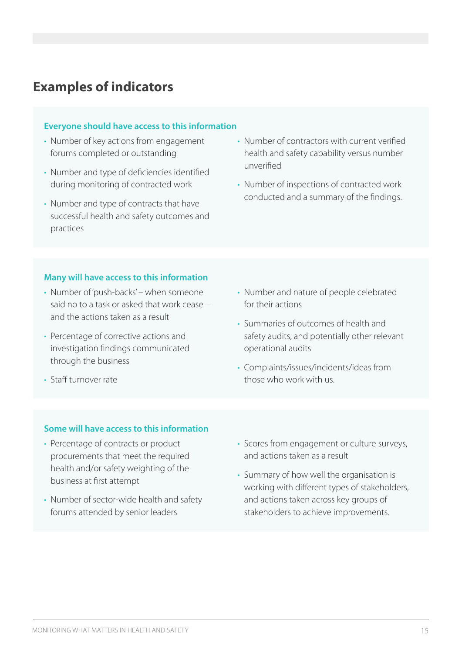### **Examples of indicators**

#### **Everyone should have access to this information**

- Number of key actions from engagement forums completed or outstanding
- Number and type of deficiencies identified during monitoring of contracted work
- Number and type of contracts that have successful health and safety outcomes and practices
- Number of contractors with current verified health and safety capability versus number unverified
- Number of inspections of contracted work conducted and a summary of the findings.

#### **Many will have access to this information**

- Number of 'push-backs' when someone said no to a task or asked that work cease – and the actions taken as a result
- Percentage of corrective actions and investigation findings communicated through the business
- Staff turnover rate
- Number and nature of people celebrated for their actions
- Summaries of outcomes of health and safety audits, and potentially other relevant operational audits
- Complaints/issues/incidents/ideas from those who work with us.

#### **Some will have access to this information**

- Percentage of contracts or product procurements that meet the required health and/or safety weighting of the business at first attempt
- Number of sector-wide health and safety forums attended by senior leaders
- Scores from engagement or culture surveys, and actions taken as a result
- Summary of how well the organisation is working with different types of stakeholders, and actions taken across key groups of stakeholders to achieve improvements.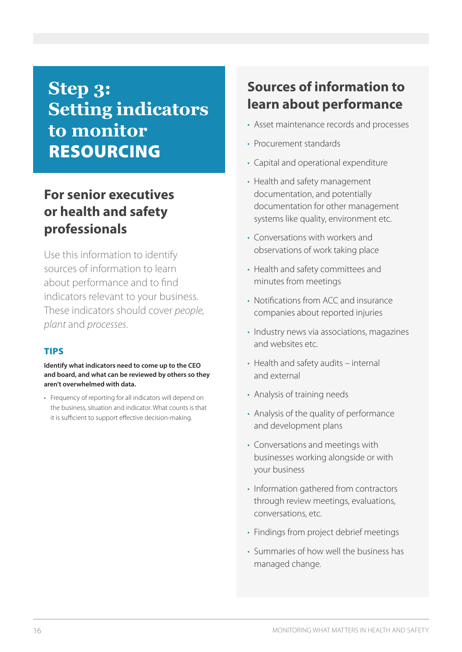# **Step 3: Setting indicators to monitor**  RESOURCING

# **For senior executives or health and safety professionals**

Use this information to identify sources of information to learn about performance and to find indicators relevant to your business. These indicators should cover *people, plant* and *processes*.

#### TIPS

**Identify what indicators need to come up to the CEO and board, and what can be reviewed by others so they aren't overwhelmed with data.**

• Frequency of reporting for all indicators will depend on the business, situation and indicator. What counts is that it is sufficient to support effective decision-making.

# **Sources of information to learn about performance**

- Asset maintenance records and processes
- Procurement standards
- Capital and operational expenditure
- Health and safety management documentation, and potentially documentation for other management systems like quality, environment etc.
- Conversations with workers and observations of work taking place
- Health and safety committees and minutes from meetings
- Notifications from ACC and insurance companies about reported injuries
- Industry news via associations, magazines and websites etc.
- Health and safety audits internal and external
- Analysis of training needs
- Analysis of the quality of performance and development plans
- Conversations and meetings with businesses working alongside or with your business
- Information gathered from contractors through review meetings, evaluations, conversations, etc.
- Findings from project debrief meetings
- Summaries of how well the business has managed change.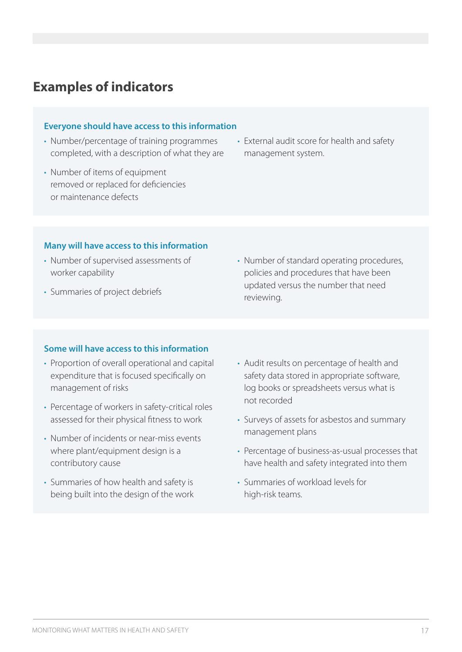### **Examples of indicators**

#### **Everyone should have access to this information**

- Number/percentage of training programmes completed, with a description of what they are
- Number of items of equipment removed or replaced for deficiencies or maintenance defects
- External audit score for health and safety management system.

#### **Many will have access to this information**

- Number of supervised assessments of worker capability
- Summaries of project debriefs

• Number of standard operating procedures, policies and procedures that have been updated versus the number that need reviewing.

#### **Some will have access to this information**

- Proportion of overall operational and capital expenditure that is focused specifically on management of risks
- Percentage of workers in safety-critical roles assessed for their physical fitness to work
- Number of incidents or near-miss events where plant/equipment design is a contributory cause
- Summaries of how health and safety is being built into the design of the work
- Audit results on percentage of health and safety data stored in appropriate software, log books or spreadsheets versus what is not recorded
- Surveys of assets for asbestos and summary management plans
- Percentage of business-as-usual processes that have health and safety integrated into them
- Summaries of workload levels for high-risk teams.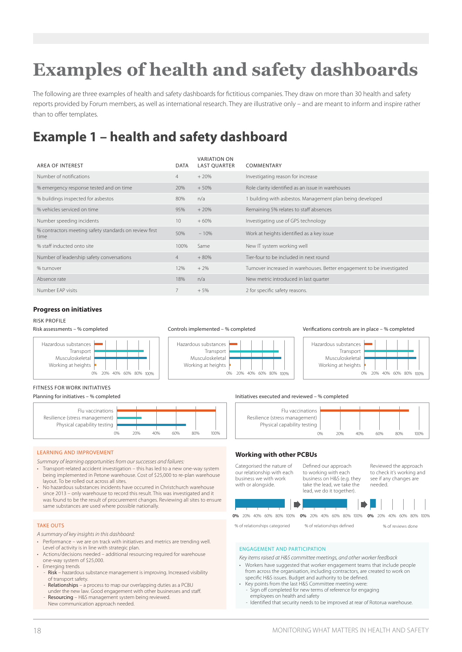# **Examples of health and safety dashboards**

The following are three examples of health and safety dashboards for fictitious companies. They draw on more than 30 health and safety reports provided by Forum members, as well as international research. They are illustrative only – and are meant to inform and inspire rather than to offer templates.

# **Example 1 – health and safety dashboard**

| <b>AREA OF INTEREST</b>                                        | <b>DATA</b>    | <b>VARIATION ON</b><br><b>LAST QUARTER</b> | COMMENTARY                                                             |
|----------------------------------------------------------------|----------------|--------------------------------------------|------------------------------------------------------------------------|
| Number of notifications                                        | $\overline{4}$ | $+20%$                                     | Investigating reason for increase                                      |
| % emergency response tested and on time                        | 20%            | $+50%$                                     | Role clarity identified as an issue in warehouses                      |
| % buildings inspected for asbestos                             | 80%            | n/a                                        | 1 building with asbestos. Management plan being developed              |
| % vehicles serviced on time                                    | 95%            | $+20%$                                     | Remaining 5% relates to staff absences                                 |
| Number speeding incidents                                      | 10             | $+60%$                                     | Investigating use of GPS technology                                    |
| % contractors meeting safety standards on review first<br>time | 50%            | $-10%$                                     | Work at heights identified as a key issue                              |
| % staff inducted onto site                                     | 100%           | Same                                       | New IT system working well                                             |
| Number of leadership safety conversations                      | $\overline{4}$ | $+80%$                                     | Tier-four to be included in next round                                 |
| % turnover                                                     | 12%            | $+2%$                                      | Turnover increased in warehouses. Better engagement to be investigated |
| Absence rate                                                   | 18%            | n/a                                        | New metric introduced in last quarter                                  |
| Number FAP visits                                              |                | $+5%$                                      | 2 for specific safety reasons.                                         |

#### **Progress on initiatives**

#### RISK PROFILE







Verifications controls are in place – % completed



#### FITNESS FOR WORK INITIATIVES

Planning for initiatives – % completed



#### LEARNING AND IMPROVEMENT

*Summary of learning opportunities from our successes and failures:*

- Transport-related accident investigation this has led to a new one-way system being implemented in Petone warehouse. Cost of \$25,000 to re-plan warehouse layout. To be rolled out across all sites.
- No hazardous substances incidents have occurred in Christchurch warehouse since 2013 – only warehouse to record this result. This was investigated and it was found to be the result of procurement changes. Reviewing all sites to ensure same substances are used where possible nationally.

#### TAKE OUTS

- *A summary of key insights in this dashboard:*
- Performance we are on track with initiatives and metrics are trending well. Level of activity is in line with strategic plan.
- Actions/decisions needed additional resourcing required for warehouse one-way system of \$25,000.
- Emerging trends
	- Risk hazardous substance management is improving. Increased visibility of transport safety.
- Relationships a process to map our overlapping duties as a PCBU under the new law. Good engagement with other businesses and staff. Resourcing – H&S management system being reviewed. New communication approach needed.

### Initiatives executed and reviewed – % completed



#### **Working with other PCBUs**



% of relationships categoried % of relationships defined % of reviews done

#### ENGAGEMENT AND PARTICIPATION

*Key items raised at H&S committee meetings, and other worker feedback*

- Workers have suggested that worker engagement teams that include people from across the organisation, including contractors, are created to work on specific H&S issues. Budget and authority to be defined.
- Key points from the last H&S Committee meeting were: - Sign off completed for new terms of reference for engaging employees on health and safety
- Identified that security needs to be improved at rear of Rotorua warehouse.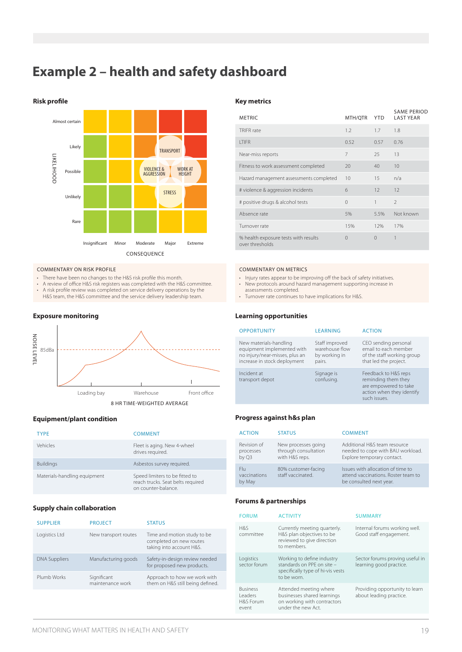# **Example 2 – health and safety dashboard**





#### COMMENTARY ON RISK PROFILE

- There have been no changes to the H&S risk profile this month<br>• A review of office H&S risk registers was completed with the H&
- A review of office H&S risk registers was completed with the H&S committee.<br>• A risk profile review was completed on service delivery operations by the
- A risk profile review was completed on service delivery operations by the H&S team, the H&S committee and the service delivery leadership team.

#### **Exposure monitoring**



#### **Equipment/plant condition**

| <b>TYPF</b>                  | <b>COMMENT</b>                                                                             |
|------------------------------|--------------------------------------------------------------------------------------------|
| Vehicles                     | Fleet is aging. New 4-wheel<br>drives required.                                            |
| <b>Buildings</b>             | Asbestos survey required.                                                                  |
| Materials-handling equipment | Speed limiters to be fitted to<br>reach trucks. Seat belts required<br>on counter-balance. |

#### **Supply chain collaboration**

| <b>PROJECT</b>                  | <b>STATUS</b>                                                                      |
|---------------------------------|------------------------------------------------------------------------------------|
| New transport routes            | Time and motion study to be<br>completed on new routes<br>taking into account H&S. |
| Manufacturing goods             | Safety-in-design review needed<br>for proposed new products.                       |
| Significant<br>maintenance work | Approach to how we work with<br>them on H&S still being defined.                   |
|                                 |                                                                                    |

| <b>METRIC</b>                                           | MTH/QTR   | <b>YTD</b> | <b>SAME PERIOD</b><br><b>LAST YEAR</b> |
|---------------------------------------------------------|-----------|------------|----------------------------------------|
| <b>TRIFR</b> rate                                       | 1.2       | 1.7        | 1.8                                    |
| <b>ITIFR</b>                                            | 0.52      | 0.57       | 0.76                                   |
| Near-miss reports                                       | 7         | 25         | 13                                     |
| Fitness to work assessment completed                    | 20        | 40         | 10                                     |
| Hazard management assessments completed                 | 10        | 15         | n/a                                    |
| # violence & aggression incidents                       | 6         | 12         | 12                                     |
| # positive drugs & alcohol tests                        | $\Omega$  | 1          | $\overline{\phantom{a}}$               |
| Absence rate                                            | 5%        | 5.5%       | Not known                              |
| Turnover rate                                           | 15%       | 12%        | 17%                                    |
| % health exposure tests with results<br>over thresholds | $\bigcap$ | $\Omega$   | 1                                      |

#### COMMENTARY ON METRICS

- Injury rates appear to be improving off the back of safety initiatives. • New protocols around hazard management supporting increase in assessments completed.
- Turnover rate continues to have implications for H&S.

#### **Learning opportunities**

| <b>OPPORTUNITY</b>                                                                                                     | <b>LEARNING</b>                                             | <b>ACTION</b>                                                                                                     |
|------------------------------------------------------------------------------------------------------------------------|-------------------------------------------------------------|-------------------------------------------------------------------------------------------------------------------|
| New materials-handling<br>equipment implemented with<br>no injury/near-misses, plus an<br>increase in stock deployment | Staff improved<br>warehouse flow<br>by working in<br>pairs. | CEO sending personal<br>email to each member<br>of the staff working group<br>that led the project.               |
| Incident at<br>transport depot                                                                                         | Signage is<br>confusing.                                    | Feedback to H&S reps<br>reminding them they<br>are empowered to take<br>action when they identify<br>such issues. |

#### **Progress against h&s plan**

| <b>ACTION</b>                     | <b>STATUS</b>                                                 | <b>COMMENT</b>                                                                                      |
|-----------------------------------|---------------------------------------------------------------|-----------------------------------------------------------------------------------------------------|
| Revision of<br>processes<br>by Q3 | New processes going<br>through consultation<br>with H&S reps. | Additional H&S team resource<br>needed to cope with BAU workload.<br>Explore temporary contact.     |
| Flu<br>vaccinations<br>by May     | 80% customer-facing<br>staff vaccinated.                      | Issues with allocation of time to<br>attend vaccinations. Roster team to<br>be consulted next year. |

#### **Forums & partnerships**

| <b>FORUM</b>                                     | <b>ACTIVITY</b>                                                                                              | <b>SUMMARY</b>                                             |
|--------------------------------------------------|--------------------------------------------------------------------------------------------------------------|------------------------------------------------------------|
| H&S<br>committee                                 | Currently meeting quarterly.<br>H&S plan objectives to be<br>reviewed to give direction<br>to members.       | Internal forums working well.<br>Good staff engagement.    |
| Logistics<br>sector forum                        | Working to define industry<br>standards on PPF on site -<br>specifically type of hi-vis vests<br>to be worn. | Sector forums proving useful in<br>learning good practice. |
| <b>Business</b><br>Leaders<br>H&S Forum<br>event | Attended meeting where<br>businesses shared learnings<br>on working with contractors<br>under the new Act.   | Providing opportunity to learn<br>about leading practice.  |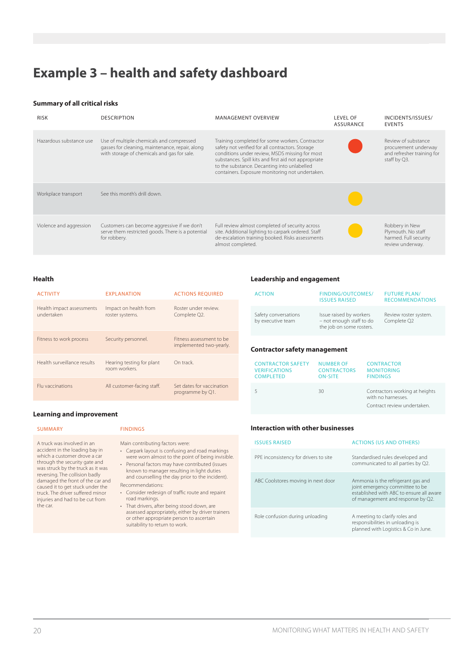# **Example 3 – health and safety dashboard**

#### **Summary of all critical risks**

| <b>RISK</b>             | <b>DESCRIPTION</b>                                                                                                                         | <b>MANAGEMENT OVERVIEW</b>                                                                                                                                                                                                                                                                                      | LEVEL OF<br><b>ASSURANCE</b> | INCIDENTS/ISSUES/<br><b>EVENTS</b>                                                        |
|-------------------------|--------------------------------------------------------------------------------------------------------------------------------------------|-----------------------------------------------------------------------------------------------------------------------------------------------------------------------------------------------------------------------------------------------------------------------------------------------------------------|------------------------------|-------------------------------------------------------------------------------------------|
| Hazardous substance use | Use of multiple chemicals and compressed<br>gasses for cleaning, maintenance, repair, along<br>with storage of chemicals and gas for sale. | Training completed for some workers. Contractor<br>safety not verified for all contractors. Storage<br>conditions under review, MSDS missing for most<br>substances. Spill kits and first aid not appropriate<br>to the substance. Decanting into unlabelled<br>containers. Exposure monitoring not undertaken. |                              | Review of substance<br>procurement underway<br>and refresher training for<br>staff by Q3. |
| Workplace transport     | See this month's drill down.                                                                                                               |                                                                                                                                                                                                                                                                                                                 |                              |                                                                                           |
| Violence and aggression | Customers can become aggressive if we don't<br>serve them restricted goods. There is a potential<br>for robbery.                           | Full review almost completed of security across<br>site. Additional lighting to carpark ordered. Staff<br>de-escalation training booked. Risks assessments<br>almost completed.                                                                                                                                 |                              | Robbery in New<br>Plymouth. No staff<br>harmed. Full security<br>review underway.         |

#### **Health**

| <b>ACTIVITY</b>                         | <b>EXPLANATION</b>                         | <b>ACTIONS REOUIRED</b>                             |
|-----------------------------------------|--------------------------------------------|-----------------------------------------------------|
| Health impact assessments<br>undertaken | Impact on health from<br>roster systems.   | Roster under review.<br>Complete Q2.                |
| Fitness to work process                 | Security personnel.                        | Fitness assessment to be<br>implemented two-yearly. |
| Health surveillance results             | Hearing testing for plant<br>room workers. | On track                                            |
| <b>Flu vaccinations</b>                 | All customer-facing staff.                 | Set dates for vaccination<br>programme by Q1.       |

#### **Learning and improvement**

#### SUMMARY FINDINGS

A truck was involved in an accident in the loading bay in which a customer drove a car through the security gate and was struck by the truck as it was reversing. The collision badly damaged the front of the car and caused it to get stuck under the truck. The driver suffered minor injuries and had to be cut from the car.

Main contributing factors were:

- Carpark layout is confusing and road markings were worn almost to the point of being invisible.
- Personal factors may have contributed (issues known to manager resulting in light duties and counselling the day prior to the incident).
- Recommendations: • Consider redesign of traffic route and repaint
- road markings. • That drivers, after being stood down, are assessed appropriately, either by driver trainers or other appropriate person to ascertain suitability to return to work.

#### **Leadership and engagement**

| <b>ACTION</b>                             | <b>FINDING/OUTCOMES/</b><br><b>ISSUES RAISED</b>                                | <b>FUTURE PLAN/</b><br><b>RECOMMENDATIONS</b> |
|-------------------------------------------|---------------------------------------------------------------------------------|-----------------------------------------------|
| Safety conversations<br>by executive team | Issue raised by workers<br>- not enough staff to do<br>the job on some rosters. | Review roster system.<br>Complete Q2          |
|                                           |                                                                                 |                                               |

#### **Contractor safety management**

| <b>CONTRACTOR SAFETY</b> | <b>NUMBER OF</b>   | <b>CONTRACTOR</b>                                                                   |
|--------------------------|--------------------|-------------------------------------------------------------------------------------|
| <b>VERIFICATIONS</b>     | <b>CONTRACTORS</b> | <b>MONITORING</b>                                                                   |
| <b>COMPLETED</b>         | <b>ON-SITE</b>     | <b>FINDINGS</b>                                                                     |
|                          | 30                 | Contractors working at heights<br>with no harnesses.<br>Contract review undertaken. |

#### **Interaction with other businesses**

| <b>ISSUES RAISED</b>                  | <b>ACTIONS (US AND OTHERS)</b>                                                                                                                         |
|---------------------------------------|--------------------------------------------------------------------------------------------------------------------------------------------------------|
| PPE inconsistency for drivers to site | Standardised rules developed and<br>communicated to all parties by Q2.                                                                                 |
| ABC Coolstores moving in next door    | Ammonia is the refrigerant gas and<br>joint emergency committee to be<br>established with ABC to ensure all aware<br>of management and response by Q2. |
| Role confusion during unloading       | A meeting to clarify roles and<br>responsibilities in unloading is<br>planned with Logistics & Co in June.                                             |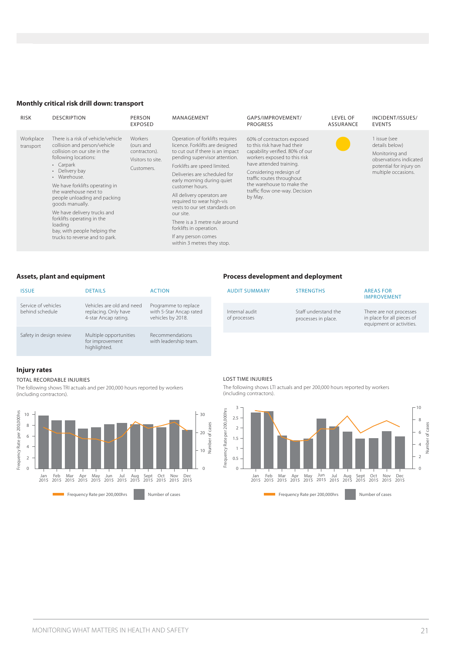#### **Monthly critical risk drill down: transport**

| <b>RISK</b>            | <b>DESCRIPTION</b>                                                                                                                                                                                                                                                                                                                                                                                                                | PERSON<br><b>EXPOSED</b>                                                 | MANAGEMENT                                                                                                                                                                                                                                                                                                                                                                                                                                                                          | GAPS/IMPROVEMENT/<br><b>PROGRESS</b>                                                                                                                                                                                                                                                      | <b>LEVEL OF</b><br>ASSURANCE | INCIDENT/ISSUES/<br><b>EVENTS</b>                                                                                            |
|------------------------|-----------------------------------------------------------------------------------------------------------------------------------------------------------------------------------------------------------------------------------------------------------------------------------------------------------------------------------------------------------------------------------------------------------------------------------|--------------------------------------------------------------------------|-------------------------------------------------------------------------------------------------------------------------------------------------------------------------------------------------------------------------------------------------------------------------------------------------------------------------------------------------------------------------------------------------------------------------------------------------------------------------------------|-------------------------------------------------------------------------------------------------------------------------------------------------------------------------------------------------------------------------------------------------------------------------------------------|------------------------------|------------------------------------------------------------------------------------------------------------------------------|
| Workplace<br>transport | There is a risk of vehicle/vehicle<br>collision and person/vehicle<br>collision on our site in the<br>following locations:<br>• Carpark<br>• Delivery bay<br>• Warehouse.<br>We have forklifts operating in<br>the warehouse next to<br>people unloading and packing<br>goods manually.<br>We have delivery trucks and<br>forklifts operating in the<br>loading<br>bay, with people helping the<br>trucks to reverse and to park. | Workers<br>(ours and<br>contractors).<br>Visitors to site.<br>Customers. | Operation of forklifts requires<br>licence. Forklifts are designed<br>to cut out if there is an impact<br>pending supervisor attention.<br>Forklifts are speed limited.<br>Deliveries are scheduled for<br>early morning during quiet<br>customer hours.<br>All delivery operators are<br>required to wear high-vis<br>vests to our set standards on<br>our site.<br>There is a 3 metre rule around<br>forklifts in operation.<br>If any person comes<br>within 3 metres they stop. | 60% of contractors exposed<br>to this risk have had their<br>capability verified. 80% of our<br>workers exposed to this risk<br>have attended training.<br>Considering redesign of<br>traffic routes throughout<br>the warehouse to make the<br>traffic flow one-way. Decision<br>by May. |                              | 1 issue (see<br>details below)<br>Monitoring and<br>observations indicated<br>potential for injury on<br>multiple occasions. |

#### **Assets, plant and equipment**

| <b>ISSUE</b>                           | <b>DETAILS</b>                                                            | <b>ACTION</b>                                                        |
|----------------------------------------|---------------------------------------------------------------------------|----------------------------------------------------------------------|
| Service of vehicles<br>behind schedule | Vehicles are old and need<br>replacing. Only have<br>4-star Ancap rating. | Programme to replace<br>with 5-Star Ancap rated<br>vehicles by 2018. |
| Safety in design review                | Multiple opportunities<br>for improvement<br>highlighted.                 | Recommendations<br>with leadership team.                             |

#### **Injury rates**

#### TOTAL RECORDABLE INJURIES

The following shows TRI actuals and per 200,000 hours reported by workers (including contractors).



#### LOST TIME INJURIES

Internal audit of processes

The following shows LTI actuals and per 200,000 hours reported by workers (including contractors).

AUDIT SUMMARY STRENGTHS AREAS FOR

Staff understand the processes in place.

IMPROVEMENT

There are not processes in place for all pieces of equipment or activities.

**Process development and deployment**

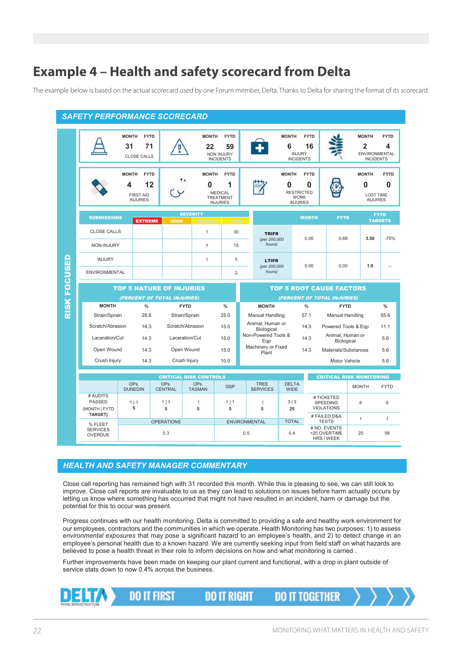# **Example 4 – Health and safety scorecard from Delta**

The example below is based on the actual scorecard used by one Forum member, Delta. Thanks to Delta for sharing the format of its scorecard.

|              | <b>SAFETY PERFORMANCE SCORECARD</b>        |                                                                               |                                   |                                                                   |                                                                           |                      |                                          |                                                                          |                   |                                             |                                |                                                              |
|--------------|--------------------------------------------|-------------------------------------------------------------------------------|-----------------------------------|-------------------------------------------------------------------|---------------------------------------------------------------------------|----------------------|------------------------------------------|--------------------------------------------------------------------------|-------------------|---------------------------------------------|--------------------------------|--------------------------------------------------------------|
|              |                                            | <b>MONTH</b><br><b>FYTD</b><br>31<br>71<br><b>CLOSE CALLS</b>                 |                                   | <b>MONTH</b><br>22                                                | <b>FYTD</b><br>59<br><b>NON INJURY</b><br><b>INCIDENTS</b>                |                      |                                          | <b>MONTH</b><br>6<br><b>INJURY</b><br><b>INCIDENTS</b>                   | <b>FYTD</b><br>16 |                                             | <b>MONTH</b><br>$\overline{2}$ | <b>FYTD</b><br>4<br><b>ENVIRONMENTAL</b><br><b>INCIDENTS</b> |
|              |                                            | <b>MONTH</b><br><b>FYTD</b><br>12<br>4<br><b>FIRST AID</b><br><b>INJURIES</b> |                                   | <b>MONTH</b><br>0                                                 | <b>FYTD</b><br>1<br><b>MEDICAL</b><br><b>TREATMENT</b><br><b>INJURIES</b> |                      |                                          | <b>MONTH</b><br>0<br><b>RESTRICTED</b><br><b>WORK</b><br><b>INJURIES</b> | <b>FYTD</b><br>0  |                                             | <b>MONTH</b><br>0              | <b>FYTD</b><br>0<br><b>LOST TIME</b><br><b>INJURIES</b>      |
|              | <b>SUBMISSIONS</b>                         | <b>EXTREME</b>                                                                | <b>HIGH</b>                       | <b>SEVERITY</b>                                                   | LOW                                                                       |                      |                                          |                                                                          | <b>MONTH</b>      | <b>FYTD</b>                                 |                                | <b>FYTD</b><br><b>TARGETS</b>                                |
|              | <b>CLOSE CALLS</b>                         |                                                                               |                                   | <b>MEDIUM</b><br>$\mathbf{1}$                                     | 30                                                                        |                      | <b>TRIFR</b>                             |                                                                          | 0.00              | 0.88                                        | 3.50                           | $-75%$                                                       |
|              | NON-INJURY                                 |                                                                               |                                   | $\overline{7}$                                                    | 15                                                                        |                      | (per 200,000<br>hours)                   |                                                                          |                   |                                             |                                |                                                              |
|              | <b>INJURY</b>                              |                                                                               |                                   | $\mathbf{1}$                                                      | 5                                                                         |                      | <b>LTIFR</b>                             |                                                                          |                   |                                             | 1.0                            |                                                              |
|              | <b>ENVIRONMENTAL</b>                       |                                                                               |                                   |                                                                   | $\overline{2}$                                                            |                      | (per 200,000<br>hours)                   |                                                                          | 0.00              | 0.00                                        |                                |                                                              |
|              |                                            |                                                                               | <b>TOP 5 NATURE OF INJURIES</b>   |                                                                   |                                                                           |                      |                                          |                                                                          |                   | <b>TOP 5 ROOT CAUSE FACTORS</b>             |                                |                                                              |
|              |                                            |                                                                               |                                   |                                                                   |                                                                           |                      |                                          |                                                                          |                   |                                             |                                |                                                              |
|              |                                            |                                                                               | (PERCENT OF TOTAL INJURIES)       |                                                                   |                                                                           |                      |                                          |                                                                          |                   | (PERCENT OF TOTAL INJURIES)                 |                                |                                                              |
|              | <b>MONTH</b>                               | $\%$                                                                          |                                   | <b>FYTD</b>                                                       | $\%$                                                                      |                      | <b>MONTH</b>                             |                                                                          | $\%$              | <b>FYTD</b>                                 |                                | $\%$                                                         |
| RISK FOCUSED | Strain/Sprain<br>Scratch/Abrasion          | 28.6<br>14.3                                                                  |                                   | Strain/Sprain<br>Scratch/Abrasion                                 | 25.0<br>15.0                                                              |                      | Manual Handling<br>Animal, Human or      |                                                                          | 57.1<br>14.3      | Manual Handling<br>Powered Tools & Eqp      |                                | 55.6<br>11.1                                                 |
|              | Laceration/Cut                             | 14.3                                                                          |                                   | Laceration/Cut                                                    | 15.0                                                                      |                      | Biological<br>Non-Powered Tools &<br>Eqp |                                                                          | 14.3              | Animal, Human or<br>Biological              |                                | 5.6                                                          |
|              | Open Wound                                 | 14.3                                                                          |                                   | Open Wound                                                        | 15.0                                                                      |                      | Machinery or Fixed<br>Plant              |                                                                          | 14.3              | Materials/Substances                        |                                | 5.6                                                          |
|              | Crush Injury                               | 14.3                                                                          |                                   | Crush Injury                                                      | 10.0                                                                      |                      |                                          |                                                                          |                   | Motor Vehicle                               |                                | 5.6                                                          |
|              |                                            |                                                                               |                                   |                                                                   |                                                                           |                      |                                          |                                                                          |                   |                                             |                                |                                                              |
|              |                                            | OPs.<br><b>DUNEDIN</b>                                                        | OP <sub>s</sub><br><b>CENTRAL</b> | <b>CRITICAL RISK CONTROLS</b><br>OP <sub>S</sub><br><b>TASMAN</b> | <b>GSP</b>                                                                |                      | <b>TREE</b><br><b>SERVICES</b>           | <b>DELTA</b><br><b>WIDE</b>                                              |                   | <b>CRITICAL RISK MONITORING</b>             | <b>MONTH</b>                   | <b>FYTD</b>                                                  |
|              | # AUDITS<br><b>PASSED</b><br>(MONTH   FYTD | 1 1<br>5                                                                      | 1 1<br>5                          | 5                                                                 | 1 1<br>5                                                                  |                      | J<br>5                                   | 3 3<br>25                                                                |                   | # TICKETED<br>SPEEDING<br><b>VIOLATIONS</b> | 6                              | 6                                                            |
|              | <b>TARGET)</b><br>% FLEET                  |                                                                               | <b>OPERATIONS</b>                 |                                                                   |                                                                           | <b>ENVIRONMENTAL</b> |                                          | <b>TOTAL</b>                                                             |                   | # FAILED D&A<br><b>TESTS</b>                | $\mathbf{1}$                   | 1                                                            |

#### *HEALTH AND SAFETY MANAGER COMMENTARY*

Close call reporting has remained high with 31 recorded this month. While this is pleasing to see, we can still look to improve. Close call reports are invaluable to us as they can lead to solutions on issues before harm actually occurs by letting us know where something has occurred that might not have resulted in an incident, harm or damage but the potential for this to occur was present.

Progress continues with our health monitoring. Delta is committed to providing a safe and healthy work environment for our employees, contractors and the communities in which we operate. Health Monitoring has two purposes: 1) to assess *environmental exposures* that may pose a significant hazard to an employee's health, and 2) to detect change in an employee's personal health due to a known hazard. We are currently seeking input from field staff on what hazards are believed to pose a health threat in their role to inform decisions on how and what monitoring is carried .

Further improvements have been made on keeping our plant current and functional, with a drop in plant outside of service stats down to now 0.4% across the business.

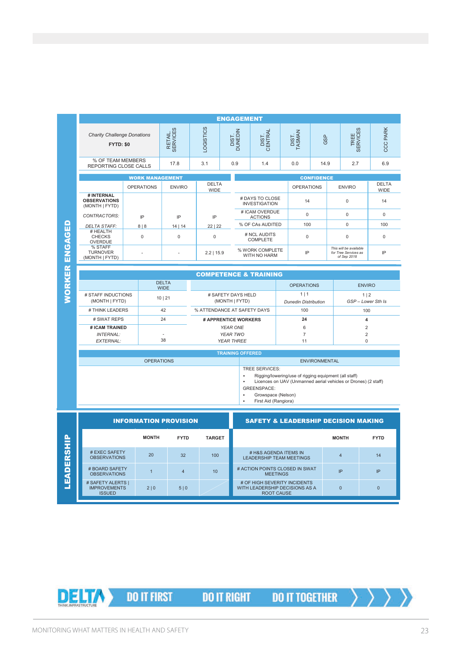|           | <b>ENGAGEMENT</b>                                   |                                                 |                     |               |                                      |                   |                                                          |                                                   |                                                                |                                    |              |                                                                                                                         |                         |                      |  |
|-----------|-----------------------------------------------------|-------------------------------------------------|---------------------|---------------|--------------------------------------|-------------------|----------------------------------------------------------|---------------------------------------------------|----------------------------------------------------------------|------------------------------------|--------------|-------------------------------------------------------------------------------------------------------------------------|-------------------------|----------------------|--|
|           | <b>Charity Challenge Donations</b><br>FYTD: \$0     |                                                 | RETAIL.<br>SERVICES |               | LOGISTICS                            |                   | DIST.<br>DUNEDIN                                         | DIST.<br>CENTRAL                                  |                                                                | DIST.<br>TASMAN                    | GSP          | TREE<br>SERVICES                                                                                                        |                         | <b>CCC PARK</b>      |  |
|           | % OF TEAM MEMBERS<br>REPORTING CLOSE CALLS          |                                                 | 17.8                |               | 3.1                                  |                   | 0.9<br>1.4                                               |                                                   |                                                                | 0.0                                | 14.9         | 2.7                                                                                                                     |                         | 6.9                  |  |
|           |                                                     |                                                 |                     |               | <b>CONFIDENCE</b>                    |                   |                                                          |                                                   |                                                                |                                    |              |                                                                                                                         |                         |                      |  |
| ENGAGED   |                                                     | <b>WORK MANAGEMENT</b><br><b>OPERATIONS</b>     |                     | <b>ENVIRO</b> | <b>WIDE</b>                          | <b>DELTA</b>      |                                                          |                                                   |                                                                | <b>OPERATIONS</b>                  |              | <b>ENVIRO</b>                                                                                                           |                         | <b>DELTA</b><br>WIDE |  |
|           | # INTERNAL<br><b>OBSERVATIONS</b><br>(MONTH   FYTD) |                                                 |                     |               |                                      |                   | # DAYS TO CLOSE<br><b>INVESTIGATION</b>                  |                                                   |                                                                | 14                                 |              | $\mathbf 0$                                                                                                             |                         | 14                   |  |
|           | <b>CONTRACTORS:</b>                                 | IP                                              | IP                  |               | IP                                   |                   | # ICAM OVERDUE<br><b>ACTIONS</b>                         |                                                   |                                                                | $\mathbf 0$                        |              | $\mathbf 0$                                                                                                             |                         | 0                    |  |
|           | <b>DELTA STAFF:</b>                                 | 8 8                                             |                     | 14   14       | 22   22                              |                   | % OF CAs AUDITED                                         |                                                   |                                                                | 100                                |              | $\Omega$                                                                                                                |                         | 100                  |  |
|           | # HEALTH<br><b>CHECKS</b><br>OVERDUE                | $\mathbf 0$                                     | 0                   |               | 0                                    |                   | # NCL AUDITS<br>COMPLETE                                 |                                                   |                                                                | 0                                  |              | $\mathsf 0$                                                                                                             |                         | 0                    |  |
|           | % STAFF<br><b>TURNOVER</b><br>(MONTH   FYTD)        |                                                 |                     |               | $2.2$   15.9                         |                   | % WORK COMPLETE<br>WITH NO HARM                          |                                                   |                                                                | IP                                 |              | This will be available<br>for Tree Services as<br>of Sep 2018                                                           |                         | IP                   |  |
|           |                                                     |                                                 |                     |               |                                      |                   |                                                          |                                                   |                                                                |                                    |              |                                                                                                                         |                         |                      |  |
| ORKER     |                                                     |                                                 |                     |               |                                      |                   |                                                          | <b>COMPETENCE &amp; TRAINING</b>                  |                                                                |                                    |              |                                                                                                                         |                         |                      |  |
|           |                                                     | <b>DELTA</b><br><b>WIDE</b>                     |                     |               |                                      | <b>OPERATIONS</b> |                                                          |                                                   |                                                                | <b>ENVIRO</b>                      |              |                                                                                                                         |                         |                      |  |
|           | # STAFF INDUCTIONS<br>(MONTH   FYTD)                |                                                 | 10   21             |               | # SAFETY DAYS HELD<br>(MONTH   FYTD) |                   |                                                          |                                                   |                                                                | 1 1<br><b>Dunedin Distribution</b> |              | 1 2<br>GSP-Lower Sth Is                                                                                                 |                         |                      |  |
|           | # THINK LEADERS                                     |                                                 | 42                  |               | % ATTENDANCE AT SAFETY DAYS          |                   |                                                          |                                                   |                                                                | 100                                |              | 100                                                                                                                     |                         |                      |  |
|           | # SWAT REPS                                         |                                                 | 24                  |               | # APPRENTICE WORKERS                 |                   |                                                          |                                                   |                                                                | 24                                 |              |                                                                                                                         | $\overline{\mathbf{4}}$ |                      |  |
|           | # ICAM TRAINED<br><b>INTERNAL:</b>                  |                                                 |                     |               |                                      | YEAR ONE          | YEAR TWO                                                 |                                                   |                                                                | 6<br>$\overline{7}$                |              | $\overline{2}$<br>$\overline{2}$                                                                                        |                         |                      |  |
|           | EXTERNAL:                                           |                                                 | 38                  |               |                                      |                   | <b>YEAR THREE</b>                                        |                                                   |                                                                | 11                                 |              | $\Omega$                                                                                                                |                         |                      |  |
|           | <b>TRAINING OFFERED</b>                             |                                                 |                     |               |                                      |                   |                                                          |                                                   |                                                                |                                    |              |                                                                                                                         |                         |                      |  |
|           | <b>OPERATIONS</b>                                   |                                                 |                     |               |                                      |                   |                                                          | <b>ENVIRONMENTAL</b>                              |                                                                |                                    |              |                                                                                                                         |                         |                      |  |
|           |                                                     |                                                 |                     |               |                                      |                   |                                                          | TREE SERVICES:                                    |                                                                |                                    |              |                                                                                                                         |                         |                      |  |
|           |                                                     |                                                 |                     |               |                                      |                   |                                                          |                                                   |                                                                |                                    |              | Rigging/lowering/use of rigging equipment (all staff)<br>Licences on UAV (Unmanned aerial vehicles or Drones) (2 staff) |                         |                      |  |
|           |                                                     | <b>GREENSPACE:</b><br>Growspace (Nelson)        |                     |               |                                      |                   |                                                          |                                                   |                                                                |                                    |              |                                                                                                                         |                         |                      |  |
|           | First Aid (Rangiora)                                |                                                 |                     |               |                                      |                   |                                                          |                                                   |                                                                |                                    |              |                                                                                                                         |                         |                      |  |
|           | <b>INFORMATION PROVISION</b>                        |                                                 |                     |               |                                      |                   |                                                          | <b>SAFETY &amp; LEADERSHIP DECISION MAKING</b>    |                                                                |                                    |              |                                                                                                                         |                         |                      |  |
| EADERSHIP |                                                     | <b>MONTH</b>                                    | <b>FYTD</b>         | <b>TARGET</b> |                                      |                   |                                                          |                                                   |                                                                |                                    | <b>MONTH</b> |                                                                                                                         | <b>FYTD</b>             |                      |  |
|           | # EXEC SAFETY<br><b>OBSERVATIONS</b>                | 20<br>32                                        |                     |               | 100                                  |                   | # H&S AGENDA ITEMS IN<br><b>LEADERSHIP TEAM MEETINGS</b> |                                                   |                                                                |                                    |              | $\overline{4}$                                                                                                          |                         | 14                   |  |
|           | # BOARD SAFETY<br><b>OBSERVATIONS</b>               | $\mathbf{1}$                                    |                     | 4             | 10                                   |                   |                                                          | # ACTION POINTS CLOSED IN SWAT<br><b>MEETINGS</b> |                                                                |                                    |              | IP                                                                                                                      |                         | IP                   |  |
| ⊒         |                                                     | # SAFETY ALERTS  <br><b>IMPROVEMENTS</b><br>2 0 |                     |               |                                      |                   |                                                          |                                                   | # OF HIGH SEVERITY INCIDENTS<br>WITH LEADERSHIP DECISIONS AS A |                                    |              | $\overline{0}$                                                                                                          |                         | $\overline{0}$       |  |

 $2 | 0 | 5 | 0$ 

**DO IT FIRST** 

DE HA

**DO IT RIGHT** 

# OF HIGH SEVERITY INCIDENTS WITH LEADERSHIP DECISIONS AS A ROOT CAUSE



0 0

# SAFETY ALERTS | IMPROVEMENTS ISSUED